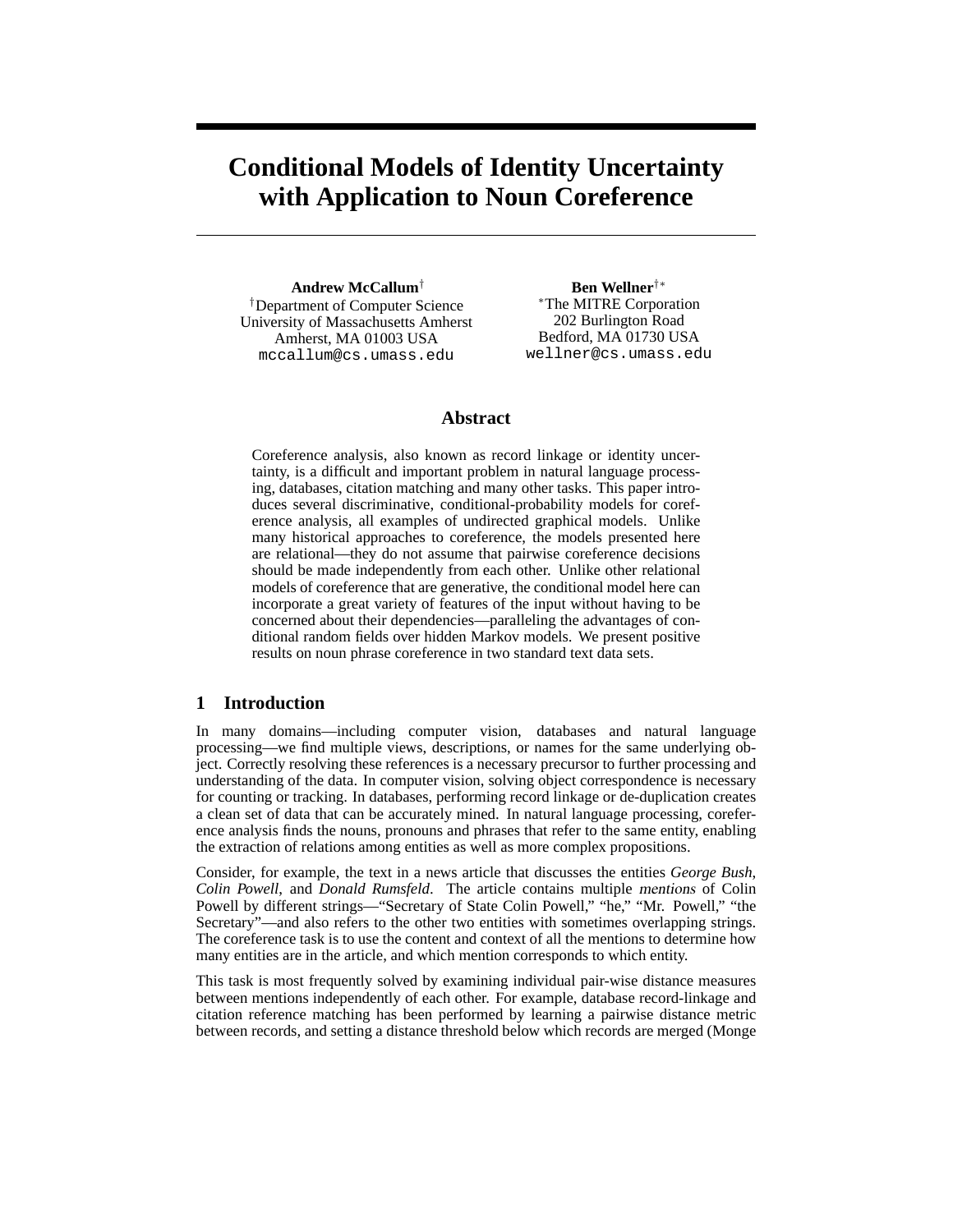# **Conditional Models of Identity Uncertainty with Application to Noun Coreference**

**Andrew McCallum**† †Department of Computer Science University of Massachusetts Amherst Amherst, MA 01003 USA mccallum@cs.umass.edu

**Ben Wellner**†∗ <sup>∗</sup>The MITRE Corporation 202 Burlington Road Bedford, MA 01730 USA wellner@cs.umass.edu

# **Abstract**

Coreference analysis, also known as record linkage or identity uncertainty, is a difficult and important problem in natural language processing, databases, citation matching and many other tasks. This paper introduces several discriminative, conditional-probability models for coreference analysis, all examples of undirected graphical models. Unlike many historical approaches to coreference, the models presented here are relational—they do not assume that pairwise coreference decisions should be made independently from each other. Unlike other relational models of coreference that are generative, the conditional model here can incorporate a great variety of features of the input without having to be concerned about their dependencies—paralleling the advantages of conditional random fields over hidden Markov models. We present positive results on noun phrase coreference in two standard text data sets.

# **1 Introduction**

In many domains—including computer vision, databases and natural language processing—we find multiple views, descriptions, or names for the same underlying object. Correctly resolving these references is a necessary precursor to further processing and understanding of the data. In computer vision, solving object correspondence is necessary for counting or tracking. In databases, performing record linkage or de-duplication creates a clean set of data that can be accurately mined. In natural language processing, coreference analysis finds the nouns, pronouns and phrases that refer to the same entity, enabling the extraction of relations among entities as well as more complex propositions.

Consider, for example, the text in a news article that discusses the entities *George Bush*, *Colin Powell*, and *Donald Rumsfeld*. The article contains multiple mentions of Colin Powell by different strings—"Secretary of State Colin Powell," "he," "Mr. Powell," "the Secretary"—and also refers to the other two entities with sometimes overlapping strings. The coreference task is to use the content and context of all the mentions to determine how many entities are in the article, and which mention corresponds to which entity.

This task is most frequently solved by examining individual pair-wise distance measures between mentions independently of each other. For example, database record-linkage and citation reference matching has been performed by learning a pairwise distance metric between records, and setting a distance threshold below which records are merged (Monge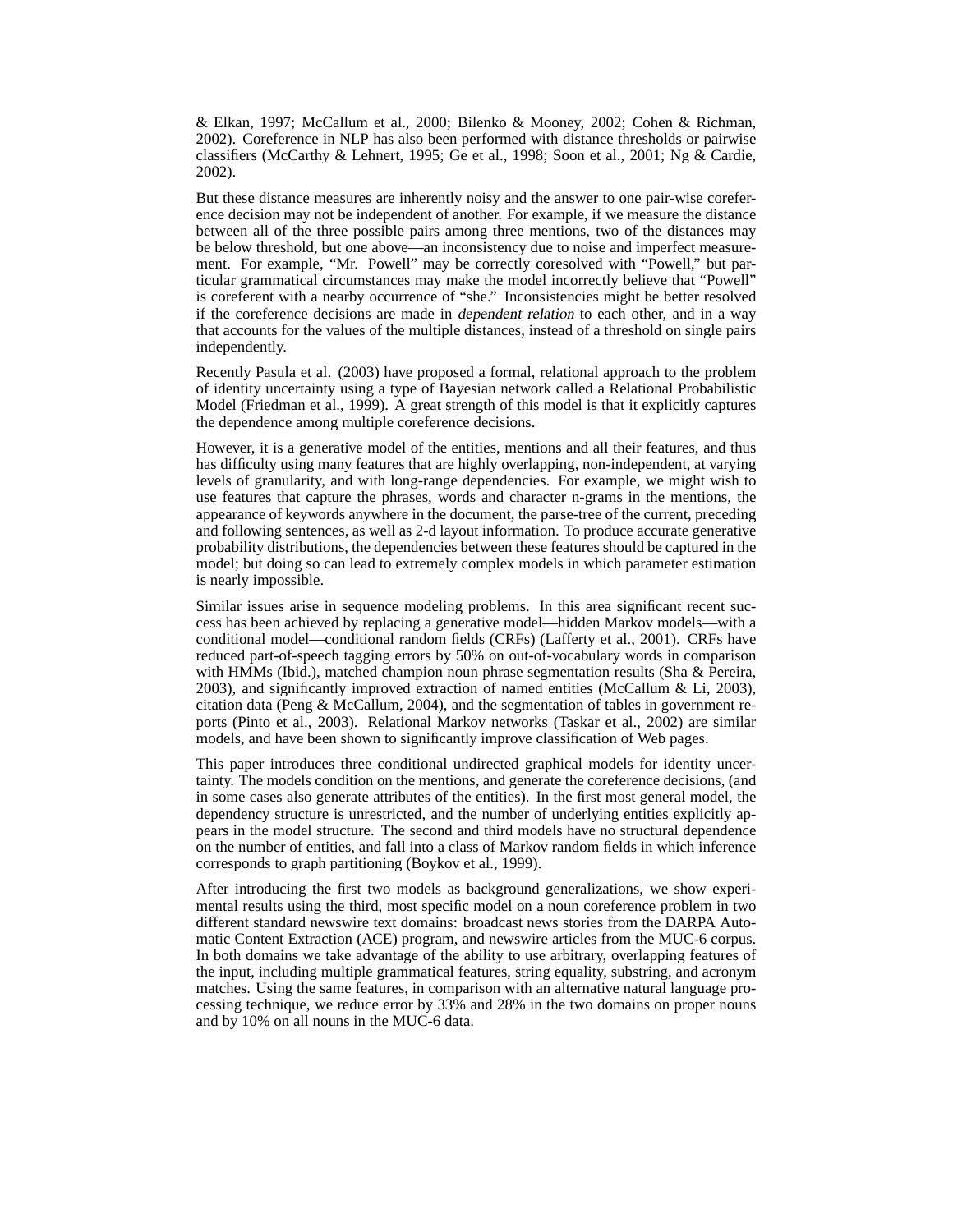& Elkan, 1997; McCallum et al., 2000; Bilenko & Mooney, 2002; Cohen & Richman, 2002). Coreference in NLP has also been performed with distance thresholds or pairwise classifiers (McCarthy & Lehnert, 1995; Ge et al., 1998; Soon et al., 2001; Ng & Cardie, 2002).

But these distance measures are inherently noisy and the answer to one pair-wise coreference decision may not be independent of another. For example, if we measure the distance between all of the three possible pairs among three mentions, two of the distances may be below threshold, but one above—an inconsistency due to noise and imperfect measurement. For example, "Mr. Powell" may be correctly coresolved with "Powell," but particular grammatical circumstances may make the model incorrectly believe that "Powell" is coreferent with a nearby occurrence of "she." Inconsistencies might be better resolved if the coreference decisions are made in dependent relation to each other, and in a way that accounts for the values of the multiple distances, instead of a threshold on single pairs independently.

Recently Pasula et al. (2003) have proposed a formal, relational approach to the problem of identity uncertainty using a type of Bayesian network called a Relational Probabilistic Model (Friedman et al., 1999). A great strength of this model is that it explicitly captures the dependence among multiple coreference decisions.

However, it is a generative model of the entities, mentions and all their features, and thus has difficulty using many features that are highly overlapping, non-independent, at varying levels of granularity, and with long-range dependencies. For example, we might wish to use features that capture the phrases, words and character n-grams in the mentions, the appearance of keywords anywhere in the document, the parse-tree of the current, preceding and following sentences, as well as 2-d layout information. To produce accurate generative probability distributions, the dependencies between these features should be captured in the model; but doing so can lead to extremely complex models in which parameter estimation is nearly impossible.

Similar issues arise in sequence modeling problems. In this area significant recent success has been achieved by replacing a generative model—hidden Markov models—with a conditional model—conditional random fields (CRFs) (Lafferty et al., 2001). CRFs have reduced part-of-speech tagging errors by 50% on out-of-vocabulary words in comparison with HMMs (Ibid.), matched champion noun phrase segmentation results (Sha & Pereira, 2003), and significantly improved extraction of named entities (McCallum & Li, 2003), citation data (Peng & McCallum, 2004), and the segmentation of tables in government reports (Pinto et al., 2003). Relational Markov networks (Taskar et al., 2002) are similar models, and have been shown to significantly improve classification of Web pages.

This paper introduces three conditional undirected graphical models for identity uncertainty. The models condition on the mentions, and generate the coreference decisions, (and in some cases also generate attributes of the entities). In the first most general model, the dependency structure is unrestricted, and the number of underlying entities explicitly appears in the model structure. The second and third models have no structural dependence on the number of entities, and fall into a class of Markov random fields in which inference corresponds to graph partitioning (Boykov et al., 1999).

After introducing the first two models as background generalizations, we show experimental results using the third, most specific model on a noun coreference problem in two different standard newswire text domains: broadcast news stories from the DARPA Automatic Content Extraction (ACE) program, and newswire articles from the MUC-6 corpus. In both domains we take advantage of the ability to use arbitrary, overlapping features of the input, including multiple grammatical features, string equality, substring, and acronym matches. Using the same features, in comparison with an alternative natural language processing technique, we reduce error by 33% and 28% in the two domains on proper nouns and by 10% on all nouns in the MUC-6 data.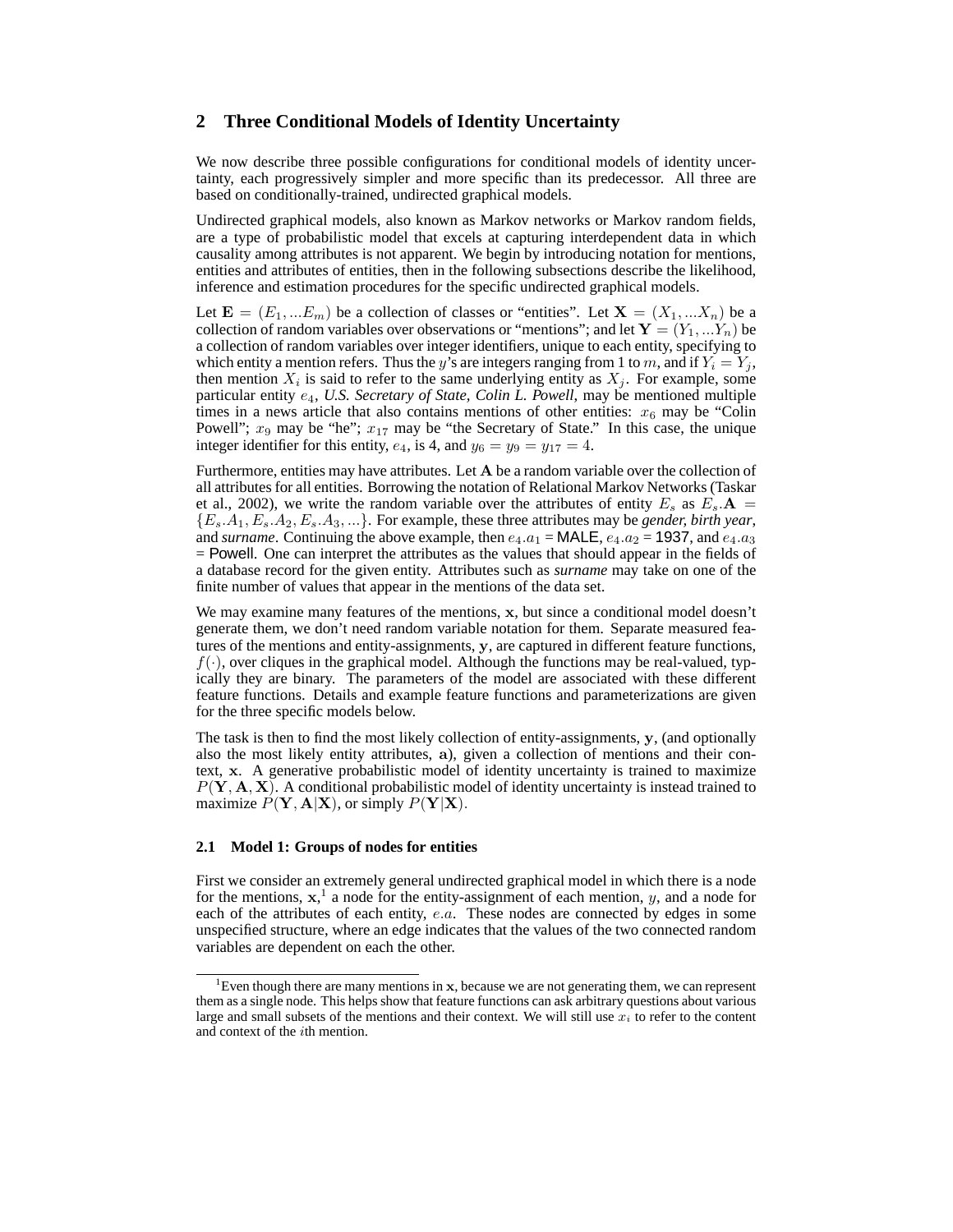# **2 Three Conditional Models of Identity Uncertainty**

We now describe three possible configurations for conditional models of identity uncertainty, each progressively simpler and more specific than its predecessor. All three are based on conditionally-trained, undirected graphical models.

Undirected graphical models, also known as Markov networks or Markov random fields, are a type of probabilistic model that excels at capturing interdependent data in which causality among attributes is not apparent. We begin by introducing notation for mentions, entities and attributes of entities, then in the following subsections describe the likelihood, inference and estimation procedures for the specific undirected graphical models.

Let  $\mathbf{E} = (E_1, ... E_m)$  be a collection of classes or "entities". Let  $\mathbf{X} = (X_1, ... X_n)$  be a collection of random variables over observations or "mentions"; and let  $\mathbf{Y} = (Y_1, \dots, Y_n)$  be a collection of random variables over integer identifiers, unique to each entity, specifying to which entity a mention refers. Thus the y's are integers ranging from 1 to m, and if  $Y_i = Y_j$ , then mention  $X_i$  is said to refer to the same underlying entity as  $X_j$ . For example, some particular entity  $e_4$ , *U.S. Secretary of State, Colin L. Powell*, may be mentioned multiple times in a news article that also contains mentions of other entities:  $x_6$  may be "Colin Powell";  $x_9$  may be "he";  $x_{17}$  may be "the Secretary of State." In this case, the unique integer identifier for this entity,  $e_4$ , is 4, and  $y_6 = y_9 = y_{17} = 4$ .

Furthermore, entities may have attributes. Let A be a random variable over the collection of all attributes for all entities. Borrowing the notation of Relational Markov Networks (Taskar et al., 2002), we write the random variable over the attributes of entity  $E_s$  as  $E_s \cdot A =$  ${E<sub>s</sub>, A<sub>1</sub>, E<sub>s</sub>, A<sub>2</sub>, E<sub>s</sub>, A<sub>3</sub>, ...}$ . For example, these three attributes may be *gender, birth year*, and *surname*. Continuing the above example, then  $e_4.a_1 = \text{MALE}$ ,  $e_4.a_2 = 1937$ , and  $e_4.a_3$ = Powell. One can interpret the attributes as the values that should appear in the fields of a database record for the given entity. Attributes such as *surname* may take on one of the finite number of values that appear in the mentions of the data set.

We may examine many features of the mentions,  $x$ , but since a conditional model doesn't generate them, we don't need random variable notation for them. Separate measured features of the mentions and entity-assignments, y, are captured in different feature functions,  $f(\cdot)$ , over cliques in the graphical model. Although the functions may be real-valued, typically they are binary. The parameters of the model are associated with these different feature functions. Details and example feature functions and parameterizations are given for the three specific models below.

The task is then to find the most likely collection of entity-assignments, y, (and optionally also the most likely entity attributes, a), given a collection of mentions and their context, x. A generative probabilistic model of identity uncertainty is trained to maximize  $P(Y, A, X)$ . A conditional probabilistic model of identity uncertainty is instead trained to maximize  $P(Y, A|X)$ , or simply  $P(Y|X)$ .

### **2.1 Model 1: Groups of nodes for entities**

First we consider an extremely general undirected graphical model in which there is a node for the mentions,  $x$ ,<sup>1</sup> a node for the entity-assignment of each mention, y, and a node for each of the attributes of each entity, e.a. These nodes are connected by edges in some unspecified structure, where an edge indicates that the values of the two connected random variables are dependent on each the other.

<sup>&</sup>lt;sup>1</sup>Even though there are many mentions in x, because we are not generating them, we can represent them as a single node. This helps show that feature functions can ask arbitrary questions about various large and small subsets of the mentions and their context. We will still use  $x_i$  to refer to the content and context of the ith mention.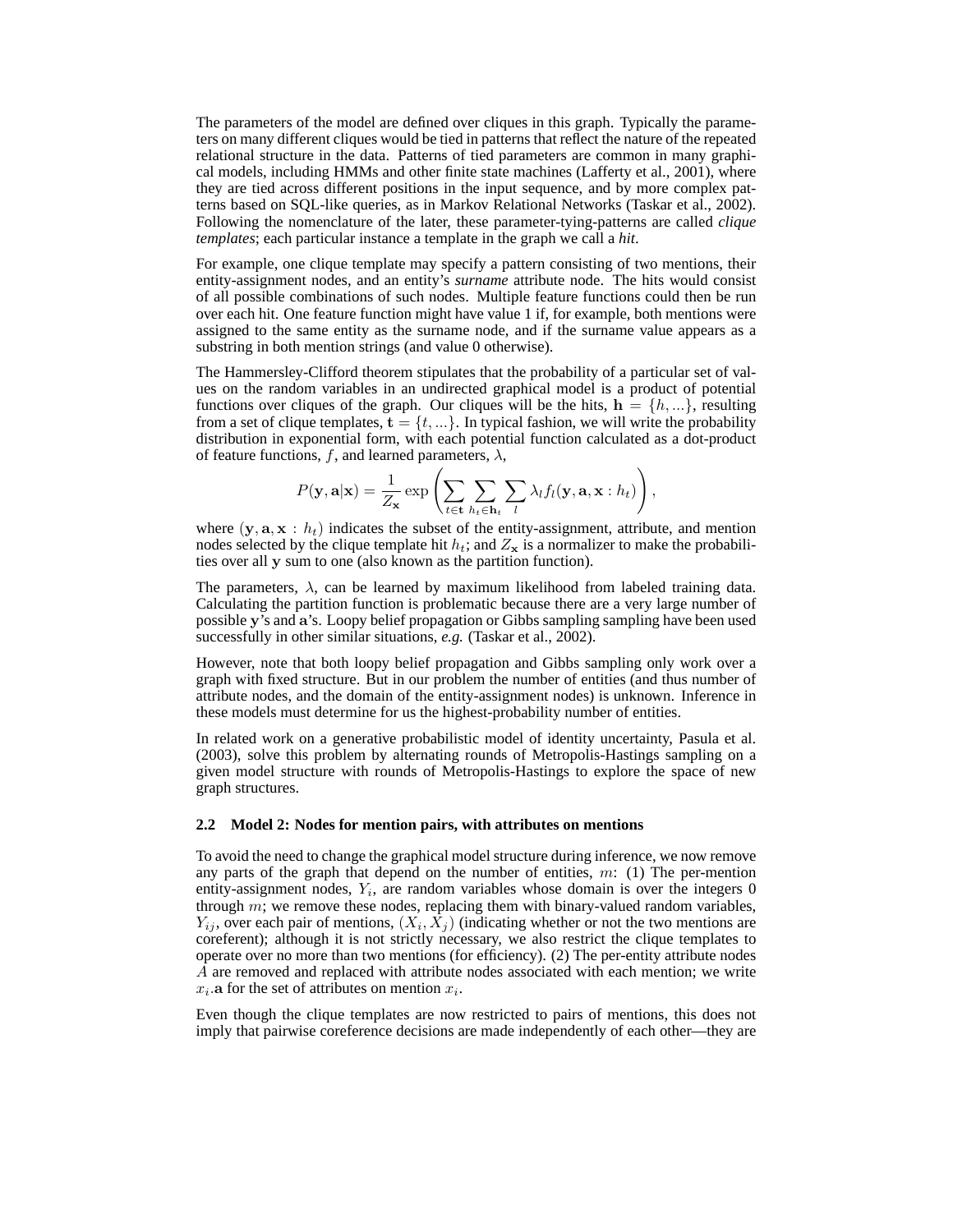The parameters of the model are defined over cliques in this graph. Typically the parameters on many different cliques would be tied in patterns that reflect the nature of the repeated relational structure in the data. Patterns of tied parameters are common in many graphical models, including HMMs and other finite state machines (Lafferty et al., 2001), where they are tied across different positions in the input sequence, and by more complex patterns based on SQL-like queries, as in Markov Relational Networks (Taskar et al., 2002). Following the nomenclature of the later, these parameter-tying-patterns are called *clique templates*; each particular instance a template in the graph we call a *hit*.

For example, one clique template may specify a pattern consisting of two mentions, their entity-assignment nodes, and an entity's *surname* attribute node. The hits would consist of all possible combinations of such nodes. Multiple feature functions could then be run over each hit. One feature function might have value 1 if, for example, both mentions were assigned to the same entity as the surname node, and if the surname value appears as a substring in both mention strings (and value 0 otherwise).

The Hammersley-Clifford theorem stipulates that the probability of a particular set of values on the random variables in an undirected graphical model is a product of potential functions over cliques of the graph. Our cliques will be the hits,  $h = \{h, ...\}$ , resulting from a set of clique templates,  $\mathbf{t} = \{t, \ldots\}$ . In typical fashion, we will write the probability distribution in exponential form, with each potential function calculated as a dot-product of feature functions, f, and learned parameters,  $\lambda$ ,

$$
P(\mathbf{y}, \mathbf{a}|\mathbf{x}) = \frac{1}{Z_{\mathbf{x}}} \exp \left( \sum_{t \in \mathbf{t}} \sum_{h_t \in \mathbf{h}_t} \sum_l \lambda_l f_l(\mathbf{y}, \mathbf{a}, \mathbf{x} : h_t) \right),
$$

where  $(y, a, x : h_t)$  indicates the subset of the entity-assignment, attribute, and mention nodes selected by the clique template hit  $h_t$ ; and  $Z_x$  is a normalizer to make the probabilities over all y sum to one (also known as the partition function).

The parameters,  $\lambda$ , can be learned by maximum likelihood from labeled training data. Calculating the partition function is problematic because there are a very large number of possible y's and a's. Loopy belief propagation or Gibbs sampling sampling have been used successfully in other similar situations, *e.g.* (Taskar et al., 2002).

However, note that both loopy belief propagation and Gibbs sampling only work over a graph with fixed structure. But in our problem the number of entities (and thus number of attribute nodes, and the domain of the entity-assignment nodes) is unknown. Inference in these models must determine for us the highest-probability number of entities.

In related work on a generative probabilistic model of identity uncertainty, Pasula et al. (2003), solve this problem by alternating rounds of Metropolis-Hastings sampling on a given model structure with rounds of Metropolis-Hastings to explore the space of new graph structures.

#### **2.2 Model 2: Nodes for mention pairs, with attributes on mentions**

To avoid the need to change the graphical model structure during inference, we now remove any parts of the graph that depend on the number of entities,  $m: (1)$  The per-mention entity-assignment nodes,  $Y_i$ , are random variables whose domain is over the integers 0 through  $m$ ; we remove these nodes, replacing them with binary-valued random variables,  $Y_{ij}$ , over each pair of mentions,  $(X_i, X_j)$  (indicating whether or not the two mentions are coreferent); although it is not strictly necessary, we also restrict the clique templates to operate over no more than two mentions (for efficiency). (2) The per-entity attribute nodes A are removed and replaced with attribute nodes associated with each mention; we write  $x_i$  a for the set of attributes on mention  $x_i$ .

Even though the clique templates are now restricted to pairs of mentions, this does not imply that pairwise coreference decisions are made independently of each other—they are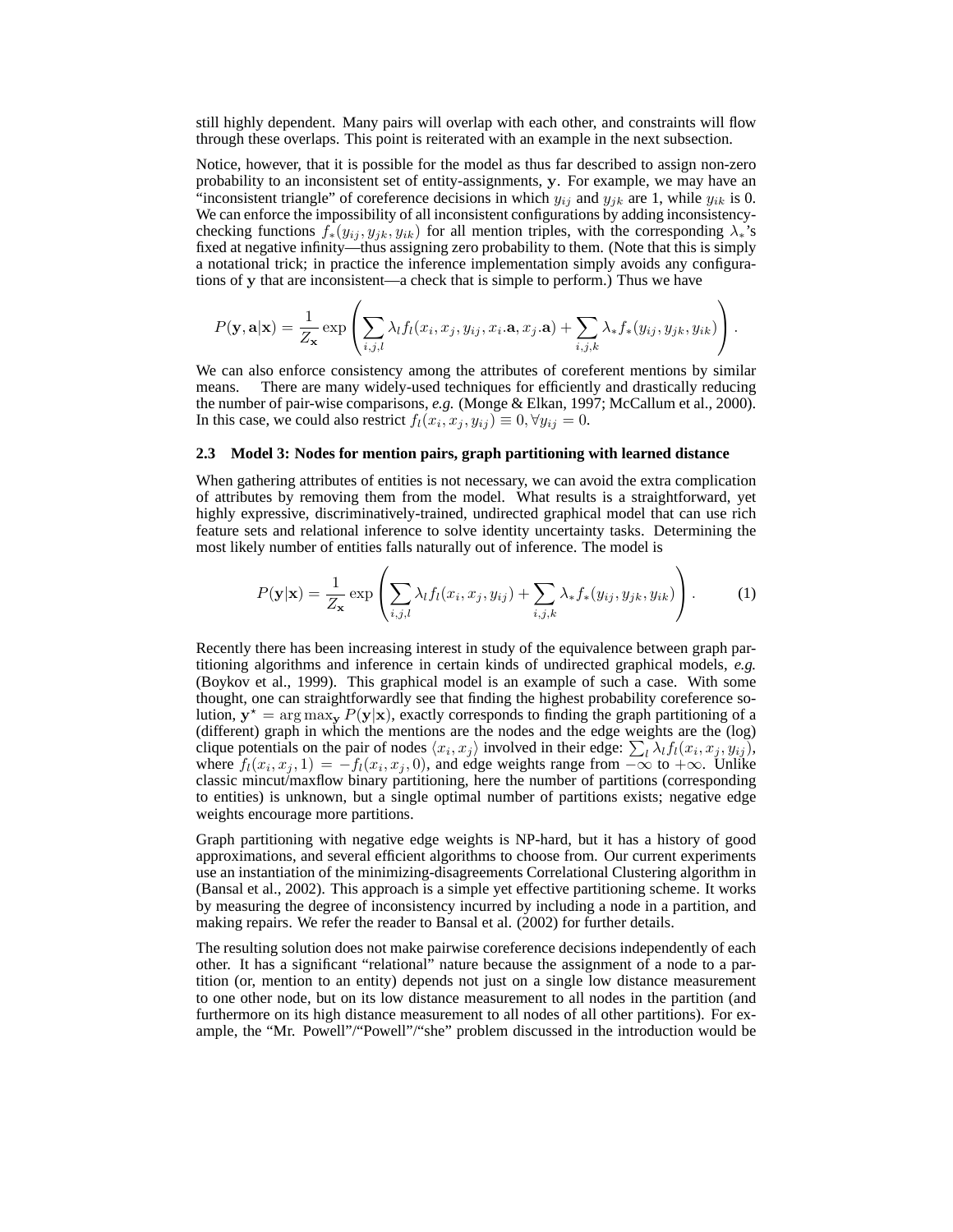still highly dependent. Many pairs will overlap with each other, and constraints will flow through these overlaps. This point is reiterated with an example in the next subsection.

Notice, however, that it is possible for the model as thus far described to assign non-zero probability to an inconsistent set of entity-assignments, y. For example, we may have an "inconsistent triangle" of coreference decisions in which  $y_{ij}$  and  $y_{jk}$  are 1, while  $y_{ik}$  is 0. We can enforce the impossibility of all inconsistent configurations by adding inconsistencychecking functions  $f_*(y_{ij}, y_{jk}, y_{ik})$  for all mention triples, with the corresponding  $\lambda_*$ 's fixed at negative infinity—thus assigning zero probability to them. (Note that this is simply a notational trick; in practice the inference implementation simply avoids any configurations of y that are inconsistent—a check that is simple to perform.) Thus we have

$$
P(\mathbf{y}, \mathbf{a}|\mathbf{x}) = \frac{1}{Z_{\mathbf{x}}} \exp \left( \sum_{i,j,l} \lambda_l f_l(x_i, x_j, y_{ij}, x_i.\mathbf{a}, x_j.\mathbf{a}) + \sum_{i,j,k} \lambda_* f_*(y_{ij}, y_{jk}, y_{ik}) \right).
$$

We can also enforce consistency among the attributes of coreferent mentions by similar means. There are many widely-used techniques for efficiently and drastically reducing the number of pair-wise comparisons, *e.g.* (Monge & Elkan, 1997; McCallum et al., 2000). In this case, we could also restrict  $f_l(x_i, x_j, y_{ij}) \equiv 0, \forall y_{ij} = 0$ .

#### **2.3 Model 3: Nodes for mention pairs, graph partitioning with learned distance**

When gathering attributes of entities is not necessary, we can avoid the extra complication of attributes by removing them from the model. What results is a straightforward, yet highly expressive, discriminatively-trained, undirected graphical model that can use rich feature sets and relational inference to solve identity uncertainty tasks. Determining the most likely number of entities falls naturally out of inference. The model is

$$
P(\mathbf{y}|\mathbf{x}) = \frac{1}{Z_{\mathbf{x}}} \exp\left(\sum_{i,j,l} \lambda_i f_l(x_i, x_j, y_{ij}) + \sum_{i,j,k} \lambda_* f_*(y_{ij}, y_{jk}, y_{ik})\right). \tag{1}
$$

Recently there has been increasing interest in study of the equivalence between graph partitioning algorithms and inference in certain kinds of undirected graphical models, *e.g.* (Boykov et al., 1999). This graphical model is an example of such a case. With some thought, one can straightforwardly see that finding the highest probability coreference solution,  $y^* = \arg \max_{y} P(y|x)$ , exactly corresponds to finding the graph partitioning of a (different) graph in which the mentions are the nodes and the edge weights are the (log) clique potentials on the pair of nodes  $\langle x_i, x_j \rangle$  involved in their edge:  $\sum_l \lambda_l f_l(x_i, x_j, y_{ij})$ , where  $f_l(x_i, x_j, 1) = -f_l(x_i, x_j, 0)$ , and edge weights range from  $-\infty$  to  $+\infty$ . Unlike classic mincut/maxflow binary partitioning, here the number of partitions (corresponding to entities) is unknown, but a single optimal number of partitions exists; negative edge weights encourage more partitions.

Graph partitioning with negative edge weights is NP-hard, but it has a history of good approximations, and several efficient algorithms to choose from. Our current experiments use an instantiation of the minimizing-disagreements Correlational Clustering algorithm in (Bansal et al., 2002). This approach is a simple yet effective partitioning scheme. It works by measuring the degree of inconsistency incurred by including a node in a partition, and making repairs. We refer the reader to Bansal et al. (2002) for further details.

The resulting solution does not make pairwise coreference decisions independently of each other. It has a significant "relational" nature because the assignment of a node to a partition (or, mention to an entity) depends not just on a single low distance measurement to one other node, but on its low distance measurement to all nodes in the partition (and furthermore on its high distance measurement to all nodes of all other partitions). For example, the "Mr. Powell"/"Powell"/"she" problem discussed in the introduction would be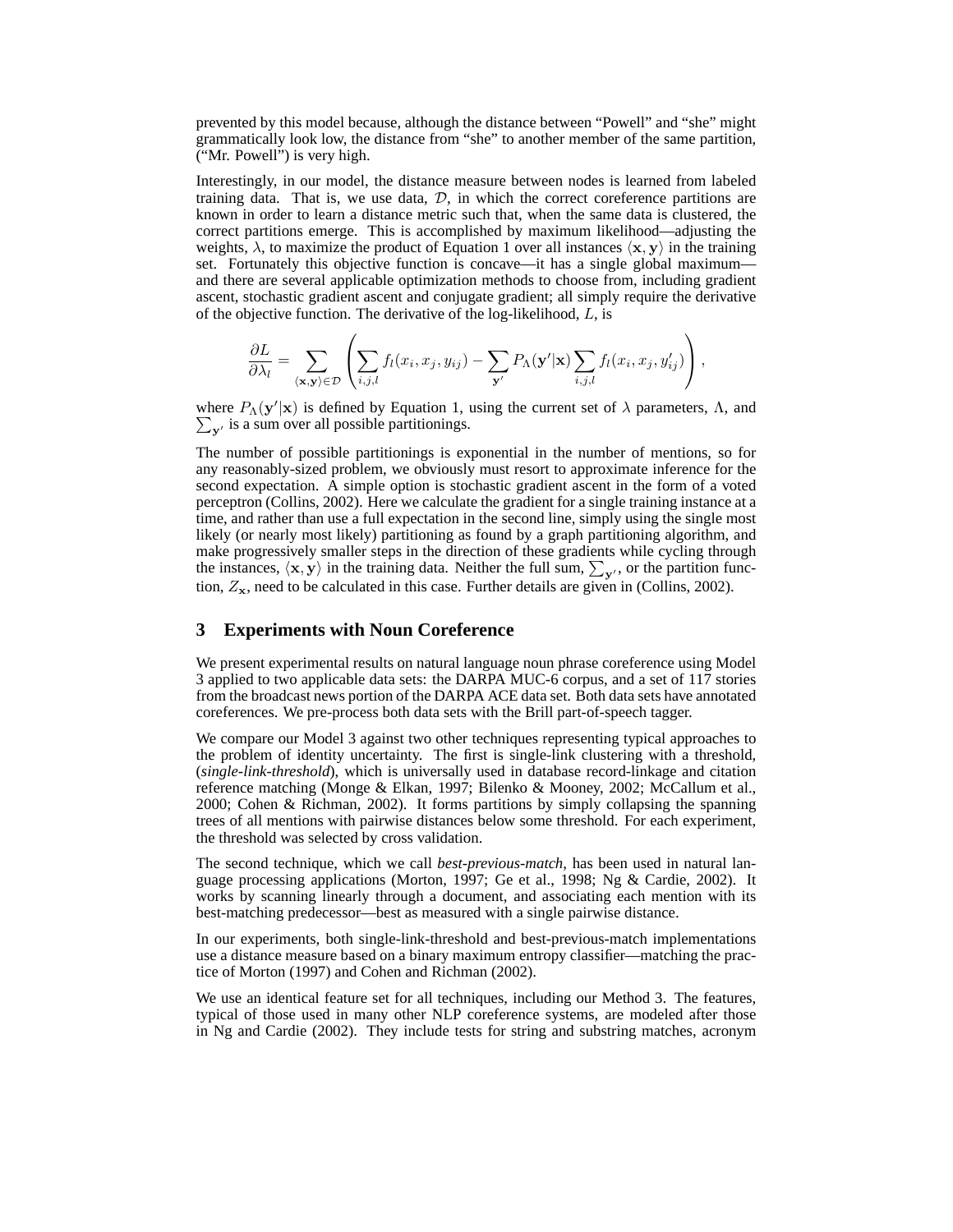prevented by this model because, although the distance between "Powell" and "she" might grammatically look low, the distance from "she" to another member of the same partition, ("Mr. Powell") is very high.

Interestingly, in our model, the distance measure between nodes is learned from labeled training data. That is, we use data,  $D$ , in which the correct coreference partitions are known in order to learn a distance metric such that, when the same data is clustered, the correct partitions emerge. This is accomplished by maximum likelihood—adjusting the weights,  $\lambda$ , to maximize the product of Equation 1 over all instances  $\langle x, y \rangle$  in the training set. Fortunately this objective function is concave—it has a single global maximum and there are several applicable optimization methods to choose from, including gradient ascent, stochastic gradient ascent and conjugate gradient; all simply require the derivative of the objective function. The derivative of the log-likelihood,  $L$ , is

$$
\frac{\partial L}{\partial \lambda_l} = \sum_{\langle \mathbf{x}, \mathbf{y} \rangle \in \mathcal{D}} \left( \sum_{i,j,l} f_l(x_i, x_j, y_{ij}) - \sum_{\mathbf{y}'} P_{\Lambda}(\mathbf{y}'|\mathbf{x}) \sum_{i,j,l} f_l(x_i, x_j, y_{ij}') \right),
$$

where  $P_{\Lambda}(\mathbf{y}'|\mathbf{x})$  is defined by Equation 1, using the current set of  $\lambda$  parameters,  $\Lambda$ , and  $\sum_{y'}$  is a sum over all possible partitionings.

The number of possible partitionings is exponential in the number of mentions, so for any reasonably-sized problem, we obviously must resort to approximate inference for the second expectation. A simple option is stochastic gradient ascent in the form of a voted perceptron (Collins, 2002). Here we calculate the gradient for a single training instance at a time, and rather than use a full expectation in the second line, simply using the single most likely (or nearly most likely) partitioning as found by a graph partitioning algorithm, and make progressively smaller steps in the direction of these gradients while cycling through the instances,  $\langle x, y \rangle$  in the training data. Neither the full sum,  $\sum_{y'}$ , or the partition function,  $Z_x$ , need to be calculated in this case. Further details are given in (Collins, 2002).

## **3 Experiments with Noun Coreference**

We present experimental results on natural language noun phrase coreference using Model 3 applied to two applicable data sets: the DARPA MUC-6 corpus, and a set of 117 stories from the broadcast news portion of the DARPA ACE data set. Both data sets have annotated coreferences. We pre-process both data sets with the Brill part-of-speech tagger.

We compare our Model 3 against two other techniques representing typical approaches to the problem of identity uncertainty. The first is single-link clustering with a threshold, (*single-link-threshold*), which is universally used in database record-linkage and citation reference matching (Monge & Elkan, 1997; Bilenko & Mooney, 2002; McCallum et al., 2000; Cohen & Richman, 2002). It forms partitions by simply collapsing the spanning trees of all mentions with pairwise distances below some threshold. For each experiment, the threshold was selected by cross validation.

The second technique, which we call *best-previous-match*, has been used in natural language processing applications (Morton, 1997; Ge et al., 1998; Ng & Cardie, 2002). It works by scanning linearly through a document, and associating each mention with its best-matching predecessor—best as measured with a single pairwise distance.

In our experiments, both single-link-threshold and best-previous-match implementations use a distance measure based on a binary maximum entropy classifier—matching the practice of Morton (1997) and Cohen and Richman (2002).

We use an identical feature set for all techniques, including our Method 3. The features, typical of those used in many other NLP coreference systems, are modeled after those in Ng and Cardie (2002). They include tests for string and substring matches, acronym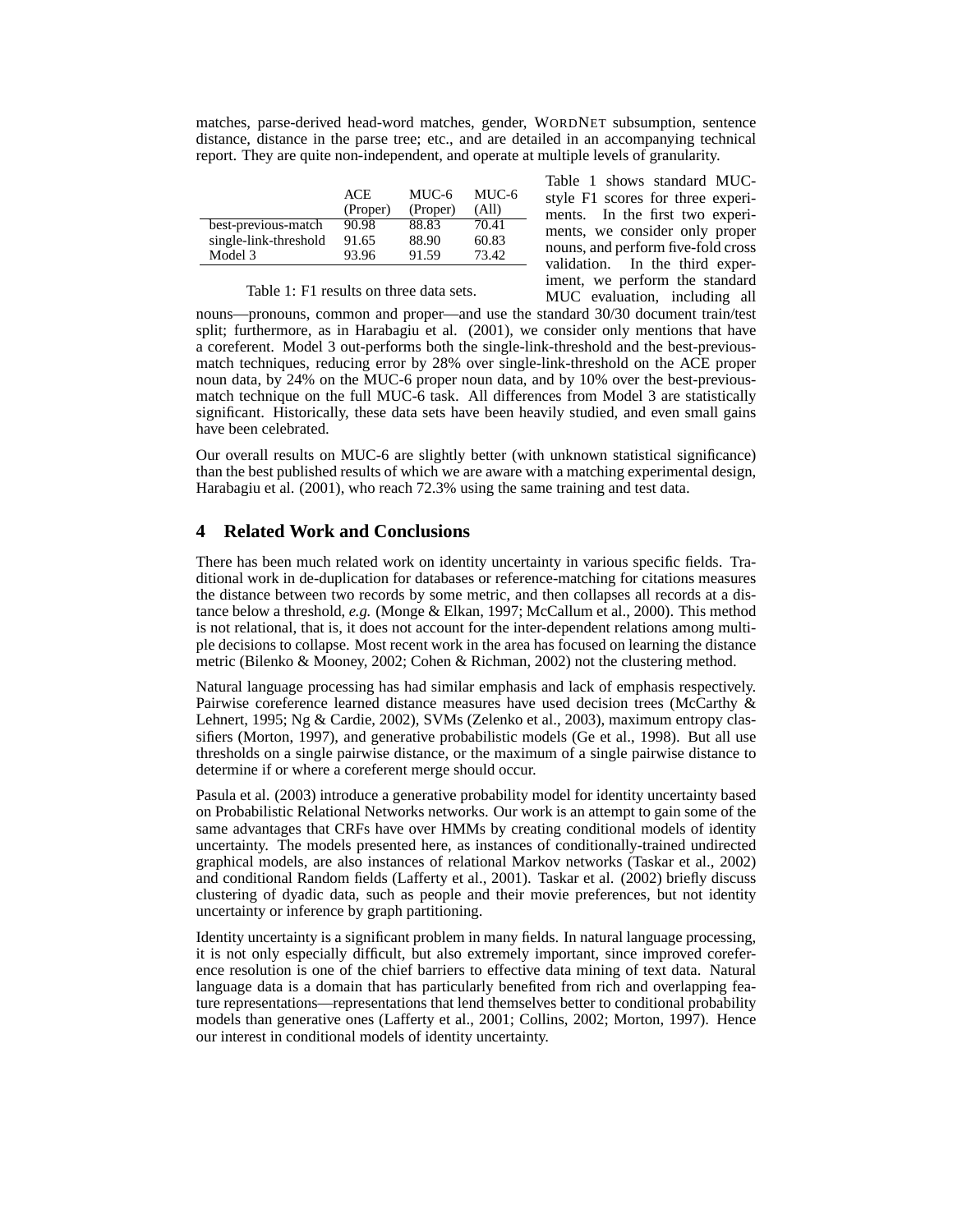matches, parse-derived head-word matches, gender, WORDNET subsumption, sentence distance, distance in the parse tree; etc., and are detailed in an accompanying technical report. They are quite non-independent, and operate at multiple levels of granularity.

|                       | ACE<br>(Proper) | MUC-6<br>(Proper) | MUC-6<br>(All) |
|-----------------------|-----------------|-------------------|----------------|
| best-previous-match   | 90.98           | 88.83             | 70.41          |
| single-link-threshold | 91.65           | 88.90             | 60.83          |
| Model 3               | 93.96           | 91.59             | 73.42          |

Table 1: F1 results on three data sets.

Table 1 shows standard MUCstyle F1 scores for three experiments. In the first two experiments, we consider only proper nouns, and perform five-fold cross validation. In the third experiment, we perform the standard MUC evaluation, including all

nouns—pronouns, common and proper—and use the standard 30/30 document train/test split; furthermore, as in Harabagiu et al. (2001), we consider only mentions that have a coreferent. Model 3 out-performs both the single-link-threshold and the best-previousmatch techniques, reducing error by 28% over single-link-threshold on the ACE proper noun data, by 24% on the MUC-6 proper noun data, and by 10% over the best-previousmatch technique on the full MUC-6 task. All differences from Model 3 are statistically significant. Historically, these data sets have been heavily studied, and even small gains have been celebrated.

Our overall results on MUC-6 are slightly better (with unknown statistical significance) than the best published results of which we are aware with a matching experimental design, Harabagiu et al. (2001), who reach 72.3% using the same training and test data.

# **4 Related Work and Conclusions**

There has been much related work on identity uncertainty in various specific fields. Traditional work in de-duplication for databases or reference-matching for citations measures the distance between two records by some metric, and then collapses all records at a distance below a threshold, *e.g.* (Monge & Elkan, 1997; McCallum et al., 2000). This method is not relational, that is, it does not account for the inter-dependent relations among multiple decisions to collapse. Most recent work in the area has focused on learning the distance metric (Bilenko & Mooney, 2002; Cohen & Richman, 2002) not the clustering method.

Natural language processing has had similar emphasis and lack of emphasis respectively. Pairwise coreference learned distance measures have used decision trees (McCarthy & Lehnert, 1995; Ng & Cardie, 2002), SVMs (Zelenko et al., 2003), maximum entropy classifiers (Morton, 1997), and generative probabilistic models (Ge et al., 1998). But all use thresholds on a single pairwise distance, or the maximum of a single pairwise distance to determine if or where a coreferent merge should occur.

Pasula et al. (2003) introduce a generative probability model for identity uncertainty based on Probabilistic Relational Networks networks. Our work is an attempt to gain some of the same advantages that CRFs have over HMMs by creating conditional models of identity uncertainty. The models presented here, as instances of conditionally-trained undirected graphical models, are also instances of relational Markov networks (Taskar et al., 2002) and conditional Random fields (Lafferty et al., 2001). Taskar et al. (2002) briefly discuss clustering of dyadic data, such as people and their movie preferences, but not identity uncertainty or inference by graph partitioning.

Identity uncertainty is a significant problem in many fields. In natural language processing, it is not only especially difficult, but also extremely important, since improved coreference resolution is one of the chief barriers to effective data mining of text data. Natural language data is a domain that has particularly benefited from rich and overlapping feature representations—representations that lend themselves better to conditional probability models than generative ones (Lafferty et al., 2001; Collins, 2002; Morton, 1997). Hence our interest in conditional models of identity uncertainty.